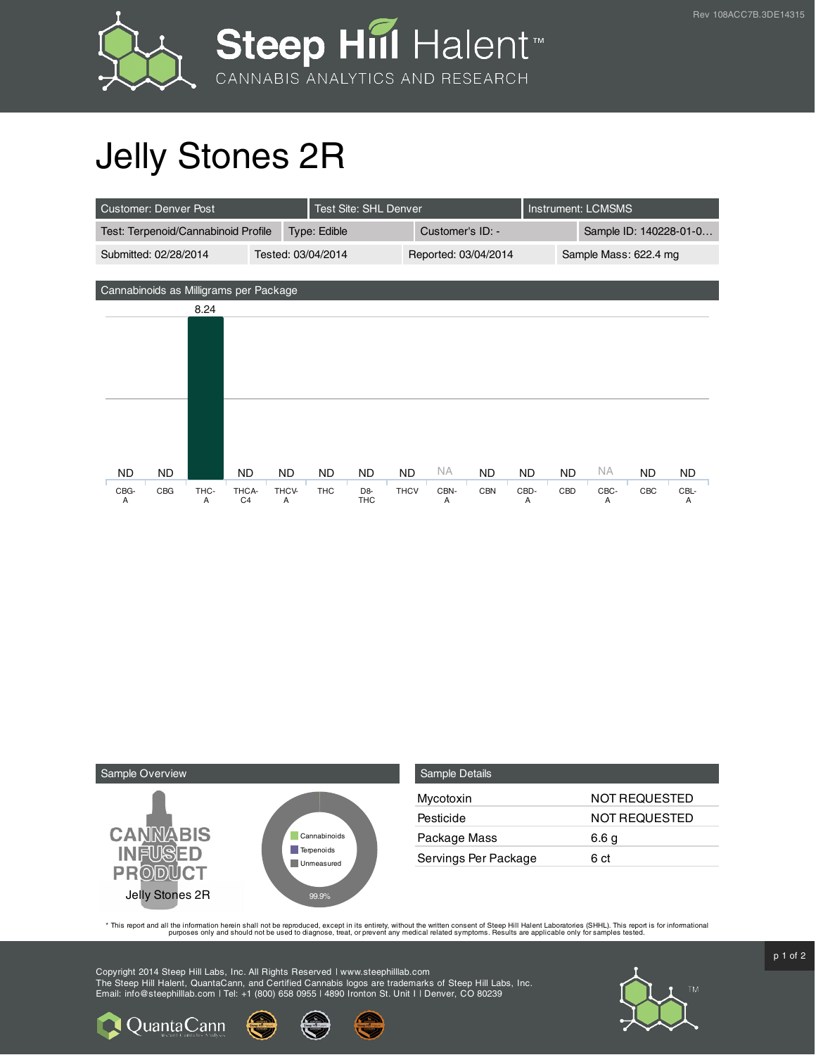

## Jelly Stones 2R

| <b>Customer: Denver Post</b>           |                                       | Test Site: SHL Denver                      |                    |                  |                      | Instrument: LCMSMS |                        |           |           |
|----------------------------------------|---------------------------------------|--------------------------------------------|--------------------|------------------|----------------------|--------------------|------------------------|-----------|-----------|
| Test: Terpenoid/Cannabinoid Profile    |                                       | Type: Edible                               |                    | Customer's ID: - |                      |                    | Sample ID: 140228-01-0 |           |           |
| Submitted: 02/28/2014                  |                                       |                                            | Tested: 03/04/2014 |                  | Reported: 03/04/2014 |                    | Sample Mass: 622.4 mg  |           |           |
| Cannabinoids as Milligrams per Package |                                       |                                            |                    |                  |                      |                    |                        |           |           |
| 8.24                                   |                                       |                                            |                    |                  |                      |                    |                        |           |           |
|                                        |                                       |                                            |                    |                  |                      |                    |                        |           |           |
|                                        |                                       |                                            |                    |                  |                      |                    |                        |           |           |
|                                        |                                       |                                            |                    |                  |                      |                    |                        |           |           |
|                                        |                                       |                                            |                    |                  |                      |                    |                        |           |           |
|                                        |                                       |                                            |                    |                  |                      |                    |                        |           |           |
| <b>ND</b><br><b>ND</b>                 | <b>ND</b><br><b>ND</b>                | <b>ND</b><br><b>ND</b>                     | <b>ND</b>          | <b>NA</b>        | <b>ND</b>            | <b>ND</b>          | <b>NA</b><br><b>ND</b> | <b>ND</b> | <b>ND</b> |
| THC-<br>CBG-<br>CBG<br>A<br>A          | THCV-<br>THCA-<br>C <sub>4</sub><br>Α | <b>THC</b><br>D <sub>8</sub><br><b>THC</b> | <b>THCV</b>        | CBN-<br>Α        | <b>CBN</b>           | CBD-<br>A          | CBC-<br>CBD<br>A       | CBC       | CBL-<br>Α |



| <b>Sample Details</b> |                      |
|-----------------------|----------------------|
| Mycotoxin             | <b>NOT REQUESTED</b> |
| Pesticide             | <b>NOT REQUESTED</b> |
| Package Mass          | 6.6 g                |
| Servings Per Package  | 6 ct                 |

This report and all the information herein shall not be reporduced, except in its entirety, without the written consent of Steep Hill Halent Laboratories (SHHL). This report is for informational all the instance, treat, or

Copyright 2014 Steep Hill Labs, Inc. All Rights Reserved | www.steephilllab.com The Steep Hill Halent, QuantaCann, and Certified Cannabis logos are trademarks of Steep Hill Labs, Inc. Email: info@steephilllab.com | Tel: +1 (800) 658 0955 | 4890 Ironton St. Unit I | Denver, CO 80239



 $p$  1 of 2

**Q** Quanta Cann